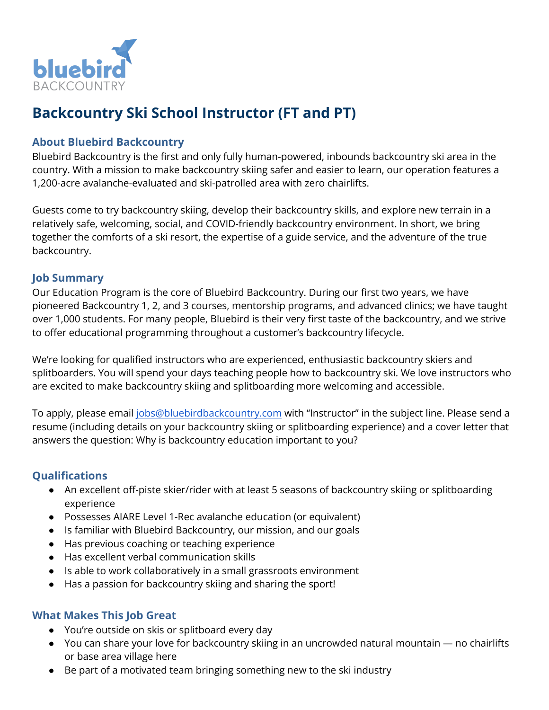

# **Backcountry Ski School Instructor (FT and PT)**

## **About Bluebird Backcountry**

Bluebird Backcountry is the first and only fully human-powered, inbounds backcountry ski area in the country. With a mission to make backcountry skiing safer and easier to learn, our operation features a 1,200-acre avalanche-evaluated and ski-patrolled area with zero chairlifts.

Guests come to try backcountry skiing, develop their backcountry skills, and explore new terrain in a relatively safe, welcoming, social, and COVID-friendly backcountry environment. In short, we bring together the comforts of a ski resort, the expertise of a guide service, and the adventure of the true backcountry.

#### **Job Summary**

Our Education Program is the core of Bluebird Backcountry. During our first two years, we have pioneered Backcountry 1, 2, and 3 courses, mentorship programs, and advanced clinics; we have taught over 1,000 students. For many people, Bluebird is their very first taste of the backcountry, and we strive to offer educational programming throughout a customer's backcountry lifecycle.

We're looking for qualified instructors who are experienced, enthusiastic backcountry skiers and splitboarders. You will spend your days teaching people how to backcountry ski. We love instructors who are excited to make backcountry skiing and splitboarding more welcoming and accessible.

To apply, please email [jobs@bluebirdbackcountry.com](mailto:jobs@bluebirdbackcountry.com) with "Instructor" in the subject line. Please send a resume (including details on your backcountry skiing or splitboarding experience) and a cover letter that answers the question: Why is backcountry education important to you?

## **Qualifications**

- An excellent off-piste skier/rider with at least 5 seasons of backcountry skiing or splitboarding experience
- Possesses AIARE Level 1-Rec avalanche education (or equivalent)
- Is familiar with Bluebird Backcountry, our mission, and our goals
- Has previous coaching or teaching experience
- Has excellent verbal communication skills
- Is able to work collaboratively in a small grassroots environment
- Has a passion for backcountry skiing and sharing the sport!

#### **What Makes This Job Great**

- You're outside on skis or splitboard every day
- You can share your love for backcountry skiing in an uncrowded natural mountain no chairlifts or base area village here
- Be part of a motivated team bringing something new to the ski industry